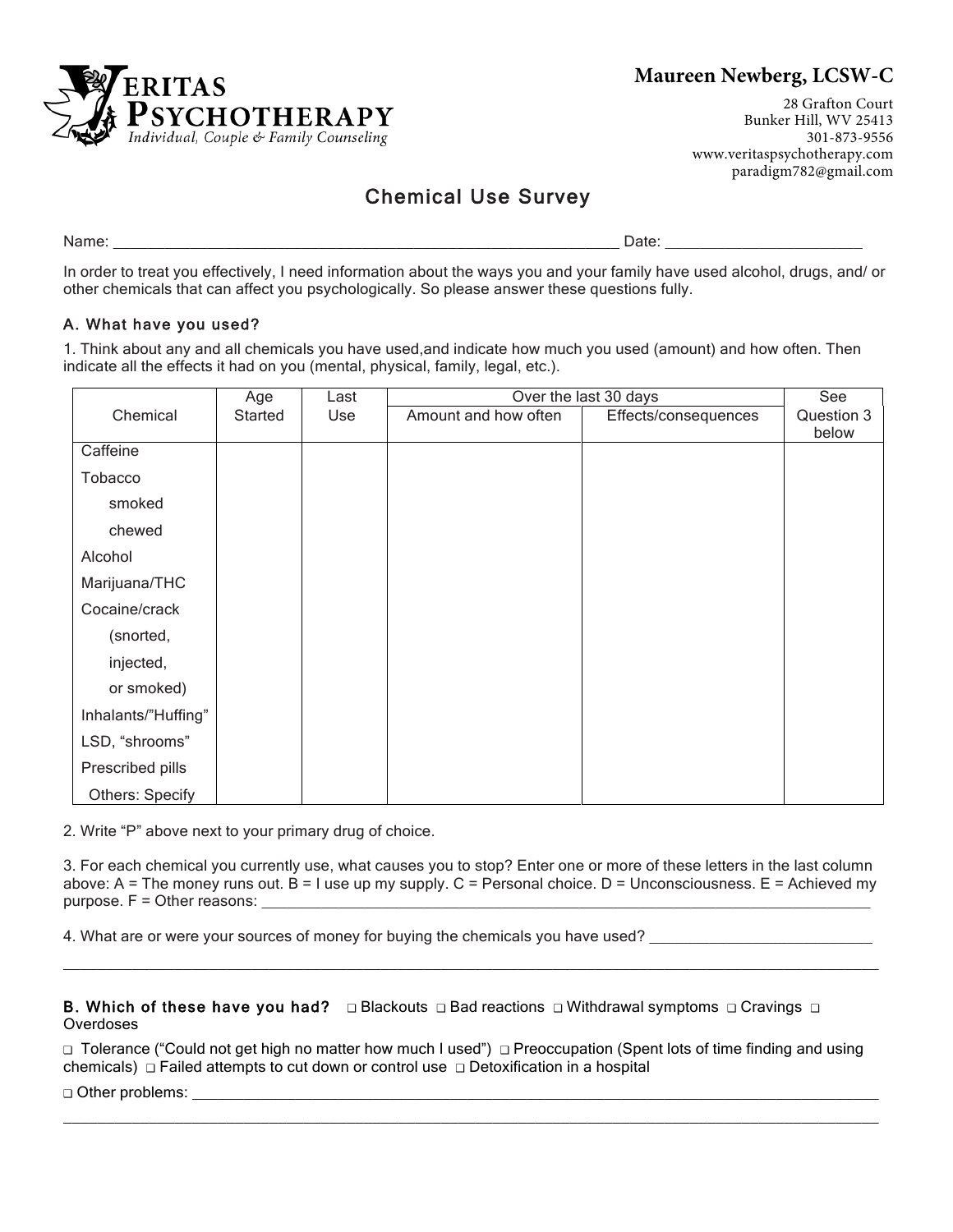

## **Maureen Newberg, LCSW-C**

28 Grafton Court Bunker Hill, WV 25413 301-873-9556 www.veritaspsychotherapy.com paradigm782@gmail.com

# Chemical Use Survey

Name: where the contract of the contract of the contract of the contract of the contract of the contract of the contract of the contract of the contract of the contract of the contract of the contract of the contract of th

In order to treat you effectively, I need information about the ways you and your family have used alcohol, drugs, and/ or other chemicals that can affect you psychologically. So please answer these questions fully.

## A. What have you used?

1. Think about any and all chemicals you have used,and indicate how much you used (amount) and how often. Then indicate all the effects it had on you (mental, physical, family, legal, etc.).

|                     | Age     | Last | Over the last 30 days | See                  |            |
|---------------------|---------|------|-----------------------|----------------------|------------|
| Chemical            | Started | Use  | Amount and how often  | Effects/consequences | Question 3 |
|                     |         |      |                       |                      | below      |
| Caffeine            |         |      |                       |                      |            |
| Tobacco             |         |      |                       |                      |            |
| smoked              |         |      |                       |                      |            |
| chewed              |         |      |                       |                      |            |
| Alcohol             |         |      |                       |                      |            |
| Marijuana/THC       |         |      |                       |                      |            |
| Cocaine/crack       |         |      |                       |                      |            |
| (snorted,           |         |      |                       |                      |            |
| injected,           |         |      |                       |                      |            |
| or smoked)          |         |      |                       |                      |            |
| Inhalants/"Huffing" |         |      |                       |                      |            |
| LSD, "shrooms"      |         |      |                       |                      |            |
| Prescribed pills    |         |      |                       |                      |            |
| Others: Specify     |         |      |                       |                      |            |

2. Write "P" above next to your primary drug of choice.

3. For each chemical you currently use, what causes you to stop? Enter one or more of these letters in the last column above: A = The money runs out.  $\overline{B}$  = I use up my supply. C = Personal choice. D = Unconsciousness. E = Achieved my purpose.  $F =$  Other reasons:

\_\_\_\_\_\_\_\_\_\_\_\_\_\_\_\_\_\_\_\_\_\_\_\_\_\_\_\_\_\_\_\_\_\_\_\_\_\_\_\_\_\_\_\_\_\_\_\_\_\_\_\_\_\_\_\_\_\_\_\_\_\_\_\_\_\_\_\_\_\_\_\_\_\_\_\_\_\_\_\_\_\_\_\_\_\_\_\_\_\_\_\_\_\_\_

4. What are or were your sources of money for buying the chemicals you have used?

B. Which of these have you had?  $\Box$  Blackouts  $\Box$  Bad reactions  $\Box$  Withdrawal symptoms  $\Box$  Cravings  $\Box$ Overdoses

❑ Tolerance ("Could not get high no matter how much I used") ❑ Preoccupation (Spent lots of time finding and using chemicals) ❑ Failed attempts to cut down or control use ❑ Detoxification in a hospital

 $\_$  ,  $\_$  ,  $\_$  ,  $\_$  ,  $\_$  ,  $\_$  ,  $\_$  ,  $\_$  ,  $\_$  ,  $\_$  ,  $\_$  ,  $\_$  ,  $\_$  ,  $\_$  ,  $\_$  ,  $\_$  ,  $\_$  ,  $\_$  ,  $\_$  ,  $\_$  ,  $\_$  ,  $\_$  ,  $\_$  ,  $\_$  ,  $\_$  ,  $\_$  ,  $\_$  ,  $\_$  ,  $\_$  ,  $\_$  ,  $\_$  ,  $\_$  ,  $\_$  ,  $\_$  ,  $\_$  ,  $\_$  ,  $\_$  ,

 $\Box$  Other problems: